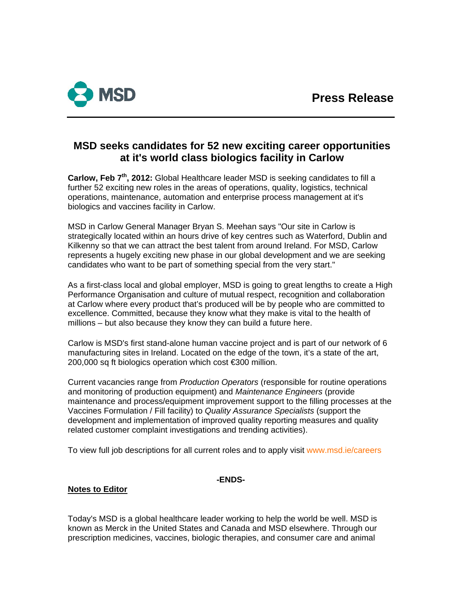

# **MSD seeks candidates for 52 new exciting career opportunities at it's world class biologics facility in Carlow**

**Carlow, Feb 7th, 2012:** Global Healthcare leader MSD is seeking candidates to fill a further 52 exciting new roles in the areas of operations, quality, logistics, technical operations, maintenance, automation and enterprise process management at it's biologics and vaccines facility in Carlow.

MSD in Carlow General Manager Bryan S. Meehan says "Our site in Carlow is strategically located within an hours drive of key centres such as Waterford, Dublin and Kilkenny so that we can attract the best talent from around Ireland. For MSD, Carlow represents a hugely exciting new phase in our global development and we are seeking candidates who want to be part of something special from the very start."

As a first-class local and global employer, MSD is going to great lengths to create a High Performance Organisation and culture of mutual respect, recognition and collaboration at Carlow where every product that's produced will be by people who are committed to excellence. Committed, because they know what they make is vital to the health of millions – but also because they know they can build a future here.

Carlow is MSD's first stand-alone human vaccine project and is part of our network of 6 manufacturing sites in Ireland. Located on the edge of the town, it's a state of the art, 200,000 sq ft biologics operation which cost €300 million.

Current vacancies range from *Production Operators* (responsible for routine operations and monitoring of production equipment) and *Maintenance Engineers* (provide maintenance and process/equipment improvement support to the filling processes at the Vaccines Formulation / Fill facility) to *Quality Assurance Specialists* (support the development and implementation of improved quality reporting measures and quality related customer complaint investigations and trending activities).

To view full job descriptions for all current roles and to apply visit [www.msd.ie/careers](http://www.msd.ie/careers)

## **-ENDS-**

## **Notes to Editor**

Today's MSD is a global healthcare leader working to help the world be well. MSD is known as Merck in the United States and Canada and MSD elsewhere. Through our prescription medicines, vaccines, biologic therapies, and consumer care and animal